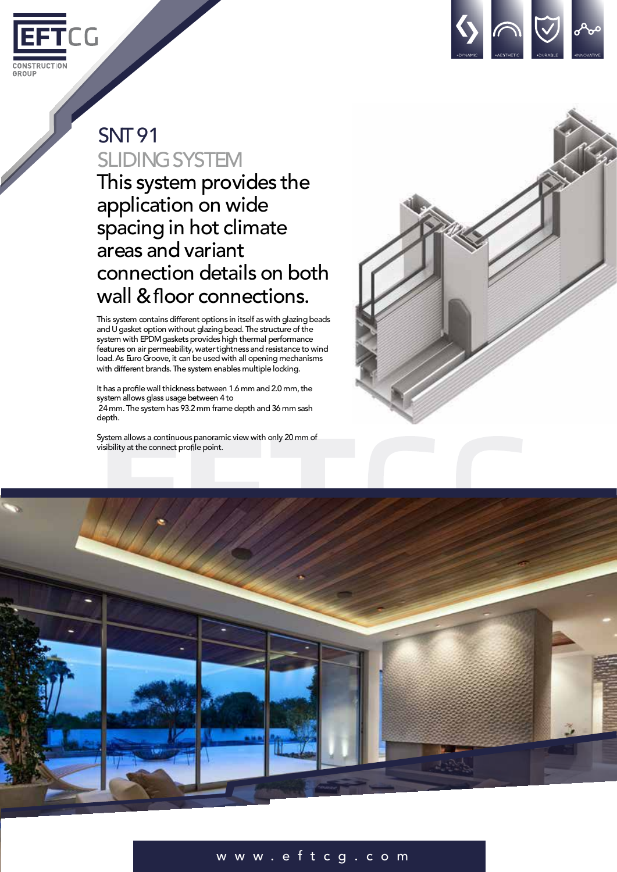



## **SNT91 SLIDING SYSTEM**

This system provides the application on wide spacing in hot climate areas and variant connection details on both wall & floor connections.

This system contains different options in itself as with glazing beads and U gasket option without glazing bead. The structure of the system with EPDM gaskets provides high thermal performance features on air permeability, water tightness and resistance to wind load.As Euro Groove, it can be used with all opening mechanisms with different brands. The system enables multiple locking.

It has a profile wall thickness between 1.6 mm and 2.0 mm, the system allows glass usage between 4 to 24mm.The system has 93.2 mm frame depth and 36 mm sash depth.

System allows a continuous panoramic view with only 20 mm of visibility at the connect profile point.





## w w w . e f t c g . c o m